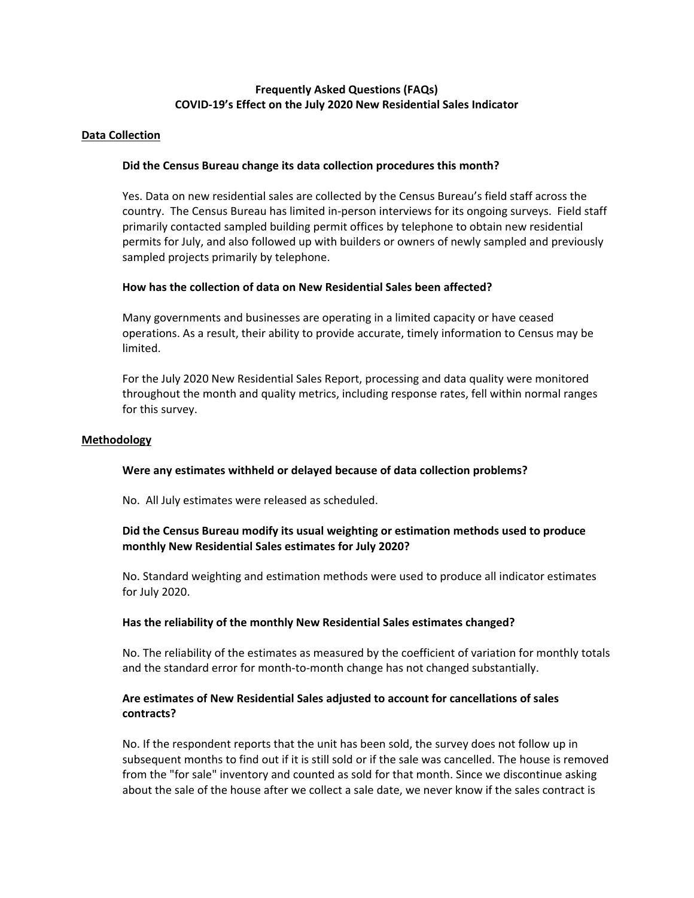# **Frequently Asked Questions (FAQs) COVID-19's Effect on the July 2020 New Residential Sales Indicator**

#### **Data Collection**

## **Did the Census Bureau change its data collection procedures this month?**

Yes. Data on new residential sales are collected by the Census Bureau's field staff across the country. The Census Bureau has limited in-person interviews for its ongoing surveys. Field staff primarily contacted sampled building permit offices by telephone to obtain new residential permits for July, and also followed up with builders or owners of newly sampled and previously sampled projects primarily by telephone.

## **How has the collection of data on New Residential Sales been affected?**

Many governments and businesses are operating in a limited capacity or have ceased operations. As a result, their ability to provide accurate, timely information to Census may be limited.

For the July 2020 New Residential Sales Report, processing and data quality were monitored throughout the month and quality metrics, including response rates, fell within normal ranges for this survey.

#### **Methodology**

## **Were any estimates withheld or delayed because of data collection problems?**

No. All July estimates were released as scheduled.

# **Did the Census Bureau modify its usual weighting or estimation methods used to produce monthly New Residential Sales estimates for July 2020?**

No. Standard weighting and estimation methods were used to produce all indicator estimates for July 2020.

#### **Has the reliability of the monthly New Residential Sales estimates changed?**

No. The reliability of the estimates as measured by the coefficient of variation for monthly totals and the standard error for month-to-month change has not changed substantially.

# **Are estimates of New Residential Sales adjusted to account for cancellations of sales contracts?**

No. If the respondent reports that the unit has been sold, the survey does not follow up in subsequent months to find out if it is still sold or if the sale was cancelled. The house is removed from the "for sale" inventory and counted as sold for that month. Since we discontinue asking about the sale of the house after we collect a sale date, we never know if the sales contract is